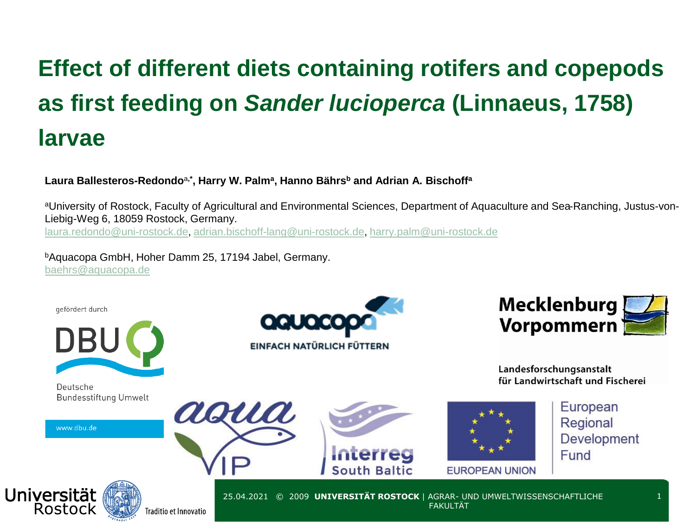# **Effect of different diets containing rotifers and copepods as first feeding on** *Sander lucioperca* **(Linnaeus, 1758) larvae**

### **Laura Ballesteros-Redondo**<sup>a</sup>**,\*, Harry W. Palm<sup>a</sup> , Hanno Bährs<sup>b</sup> and Adrian A. Bischoff<sup>a</sup>**

aoua

aUniversity of Rostock, Faculty of Agricultural and Environmental Sciences, Department of Aquaculture and Sea-Ranching, Justus-von-Liebig-Weg 6, 18059 Rostock, Germany. [laura.redondo@uni-rostock.de,](mailto:laura.redondo@uni-rostock.de) [adrian.bischoff-lang@uni-rostock.de,](mailto:adrian.bischoff-lang@uni-rostock.de) [harry.palm@uni-rostock.de](mailto:harry.palm@uni-rostock.de)

<sup>b</sup>Aquacopa GmbH, Hoher Damm 25, 17194 Jabel, Germany. [baehrs@aquacopa.de](mailto:baehrs@aquacopa.de)

gefördert durch



Deutsche Bundesstiftung Umwelt

www.dbu.de





Landesforschungsanstalt für Landwirtschaft und Fischerei





European Regional **Development** Fund



25.04.2021 © 2009 **UNIVERSITÄT ROSTOCK** | AGRAR- UND UMWELTWISSENSCHAFTLICHE **FAKULTAT**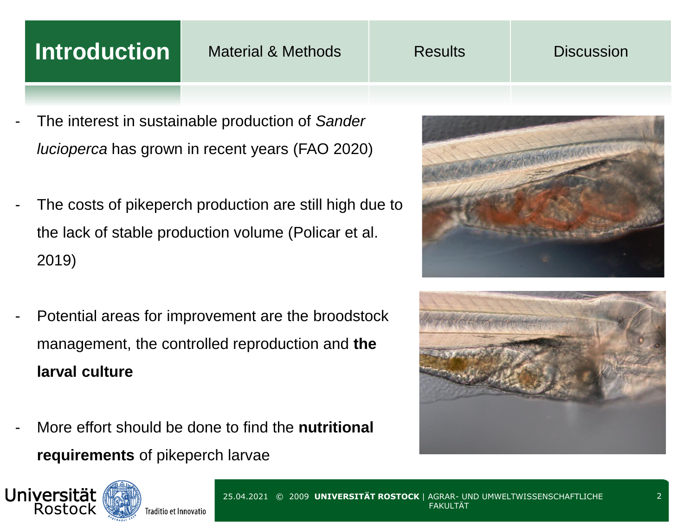# **Introduction** Material & Methods Results Biscussion

- The interest in sustainable production of *Sander lucioperca* has grown in recent years (FAO 2020)
- The costs of pikeperch production are still high due to the lack of stable production volume (Policar et al. 2019)
- Potential areas for improvement are the broodstock management, the controlled reproduction and **the larval culture**
- More effort should be done to find the **nutritional requirements** of pikeperch larvae





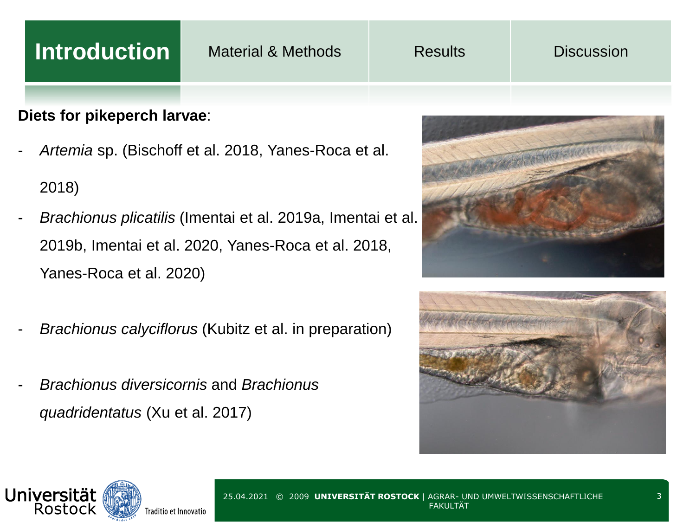# **Introduction** Material & Methods Results Biscussion

## **Diets for pikeperch larvae**:

- *Artemia* sp. (Bischoff et al. 2018, Yanes-Roca et al.

### 2018)

- *Brachionus plicatilis* (Imentai et al. 2019a, Imentai et al. 2019b, Imentai et al. 2020, Yanes-Roca et al. 2018, Yanes-Roca et al. 2020)
- *Brachionus calyciflorus* (Kubitz et al. in preparation)
- *Brachionus diversicornis* and *Brachionus quadridentatus* (Xu et al. 2017)





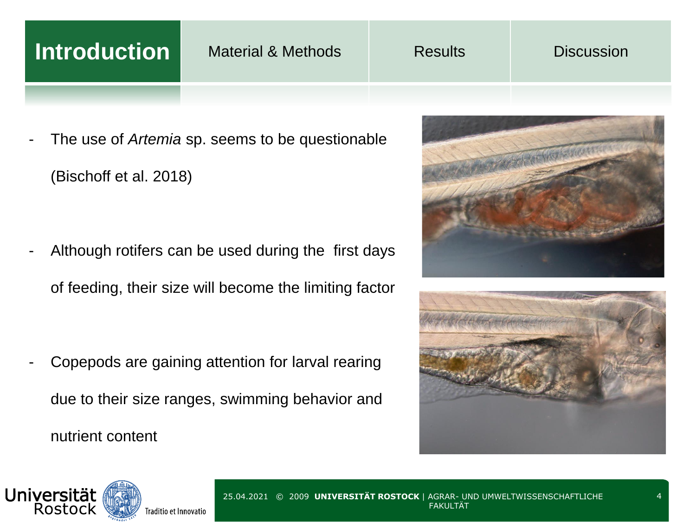# **Introduction** Material & Methods Results Biscussion

The use of *Artemia* sp. seems to be questionable (Bischoff et al. 2018)

Although rotifers can be used during the first days of feeding, their size will become the limiting factor

Copepods are gaining attention for larval rearing due to their size ranges, swimming behavior and nutrient content





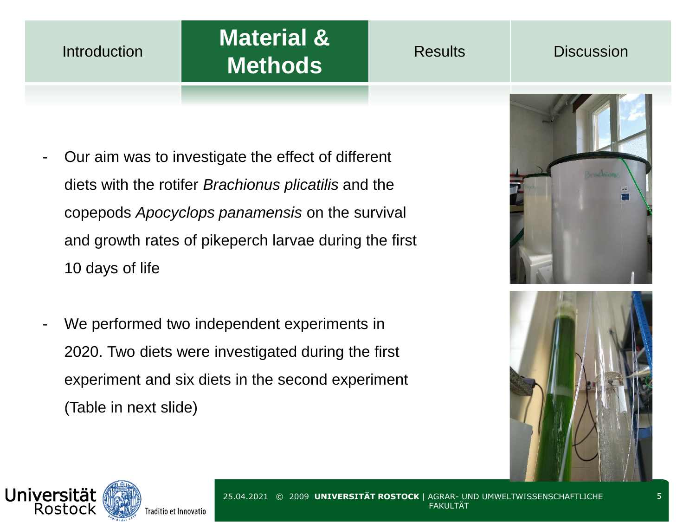### **Introduction**

# **Material & Methods** Results Discussion

- Our aim was to investigate the effect of different diets with the rotifer *Brachionus plicatilis* and the copepods *Apocyclops panamensis* on the survival and growth rates of pikeperch larvae during the first 10 days of life
- We performed two independent experiments in 2020. Two diets were investigated during the first experiment and six diets in the second experiment (Table in next slide)





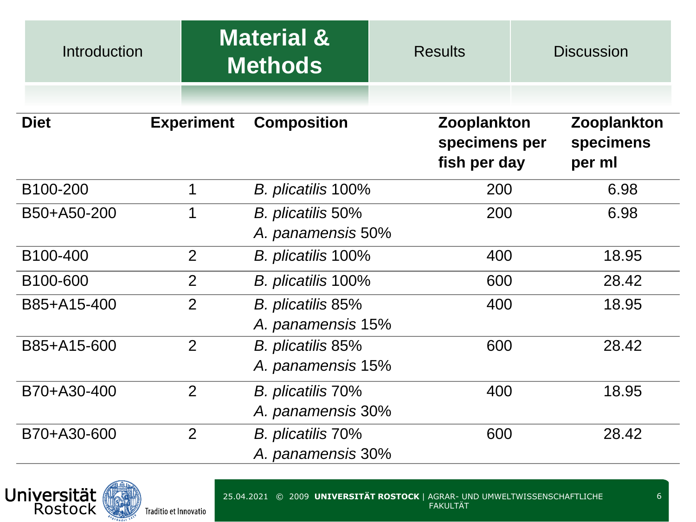| Introduction          |                   | <b>Material &amp;</b><br><b>Methods</b> | <b>Results</b>                                      | <b>Discussion</b>                  |  |
|-----------------------|-------------------|-----------------------------------------|-----------------------------------------------------|------------------------------------|--|
| <b>Diet</b>           | <b>Experiment</b> | <b>Composition</b>                      | <b>Zooplankton</b><br>specimens per<br>fish per day | Zooplankton<br>specimens<br>per ml |  |
| B <sub>100</sub> -200 | 1                 | B. plicatilis 100%                      | 200                                                 | 6.98                               |  |
| B50+A50-200           | 1                 | B. plicatilis 50%<br>A. panamensis 50%  | 200                                                 | 6.98                               |  |
| B <sub>100</sub> -400 | $\overline{2}$    | B. plicatilis 100%                      | 400                                                 | 18.95                              |  |
| B <sub>100</sub> -600 | $\overline{2}$    | B. plicatilis 100%                      | 600                                                 | 28.42                              |  |
| B85+A15-400           | $\overline{2}$    | B. plicatilis 85%<br>A. panamensis 15%  | 400                                                 | 18.95                              |  |
| B85+A15-600           | 2                 | B. plicatilis 85%<br>A. panamensis 15%  |                                                     | 600<br>28.42                       |  |
| B70+A30-400           | 2                 | B. plicatilis 70%<br>A. panamensis 30%  |                                                     | 400<br>18.95                       |  |
| B70+A30-600           | $\overline{2}$    | B. plicatilis 70%<br>A. panamensis 30%  | 600                                                 | 28.42                              |  |

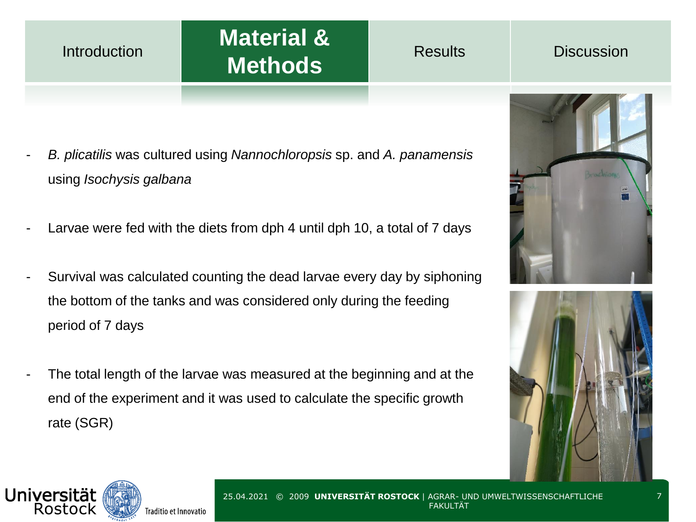### Introduction

# **Material & Methods** Results Discussion

- *B. plicatilis* was cultured using *Nannochloropsis* sp. and *A. panamensis*  using *Isochysis galbana*
- Larvae were fed with the diets from dph 4 until dph 10, a total of 7 days
- Survival was calculated counting the dead larvae every day by siphoning the bottom of the tanks and was considered only during the feeding period of 7 days
- The total length of the larvae was measured at the beginning and at the end of the experiment and it was used to calculate the specific growth rate (SGR)





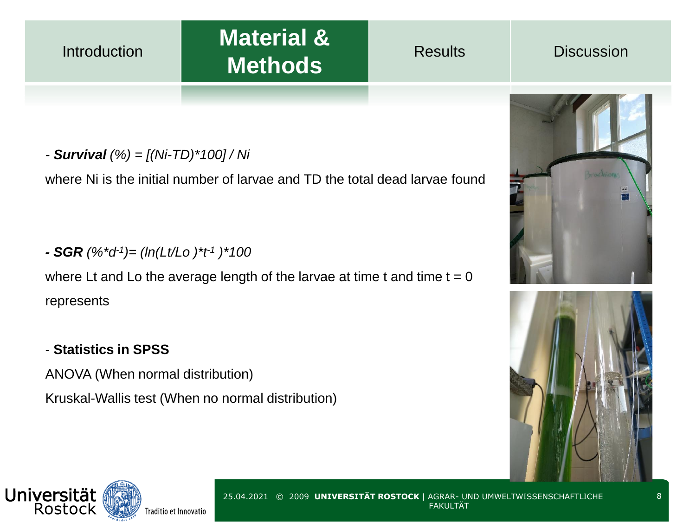### **Introduction**

# **Material & Methods** Results Discussion

*- Survival (%) = [(Ni-TD)\*100] / Ni*

where Ni is the initial number of larvae and TD the total dead larvae found

### *- SGR (%\*d-1 )= (ln(Lt/Lo )\*t-1 )\*100*

where Lt and Lo the average length of the larvae at time  $t = 0$ represents

### - **Statistics in SPSS**

ANOVA (When normal distribution)

Kruskal-Wallis test (When no normal distribution)





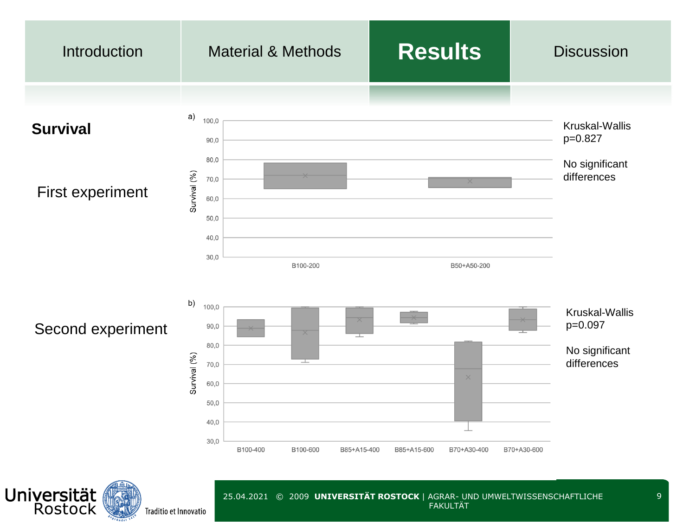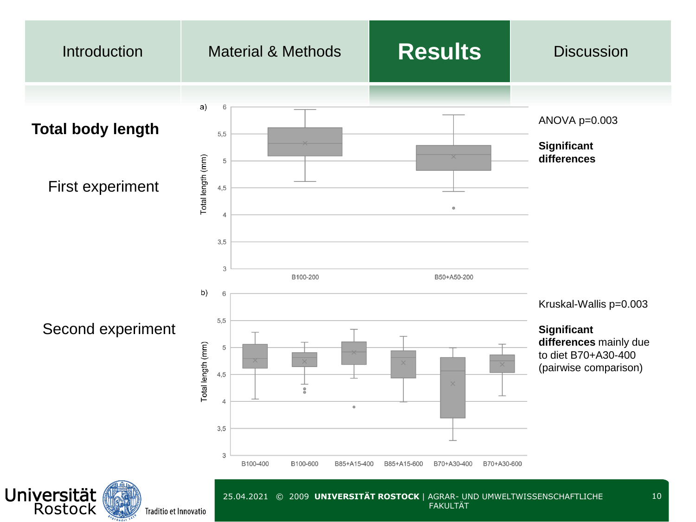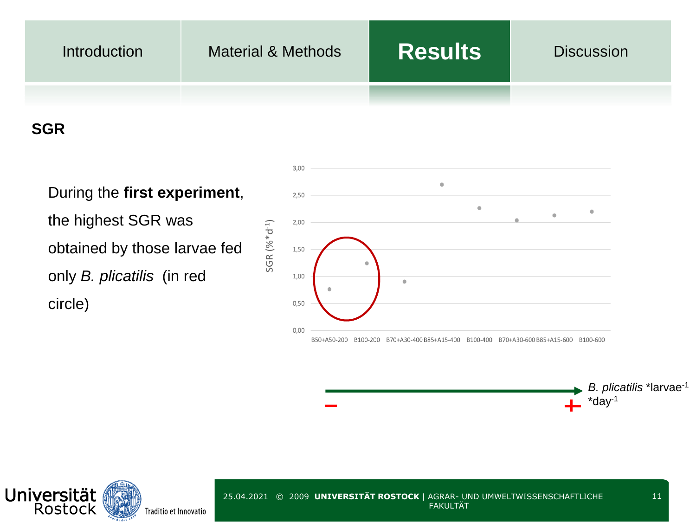| <b>Introduction</b> | <b>Material &amp; Methods</b> | <b>Results</b> | <b>Discussion</b> |
|---------------------|-------------------------------|----------------|-------------------|
|                     |                               |                |                   |

# **SGR**

During the **first experiment**, the highest SGR was obtained by those larvae fed only *B. plicatilis* (in red circle)



### *B. plicatilis* \*larvae-1  $+$  \*day<sup>-1</sup>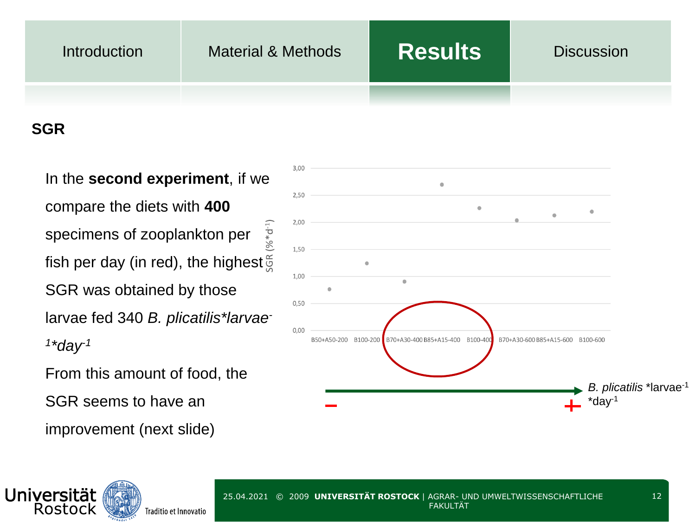

# **SGR**

In the **second experiment**, if we compare the diets with **400**  $(96 * d^{-1})$ specimens of zooplankton per fish per day (in red), the highest $\frac{\infty}{2}$ SGR was obtained by those larvae fed 340 *B. plicatilis\*larvae-1 \*day-1* From this amount of food, the

SGR seems to have an

improvement (next slide)

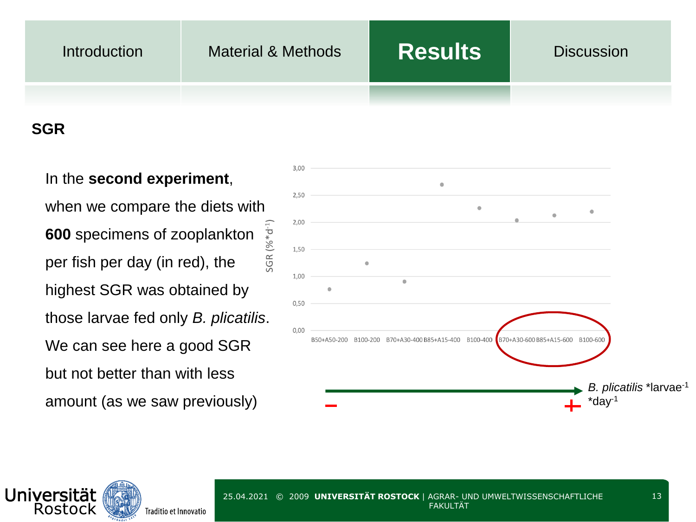# Introduction Material & Methods **Results** Discussion

# **SGR**

In the **second experiment**, when we compare the diets with  $SGR (% d^{-1})$ **600** specimens of zooplankton per fish per day (in red), the highest SGR was obtained by those larvae fed only *B. plicatilis*. We can see here a good SGR but not better than with less amount (as we saw previously)



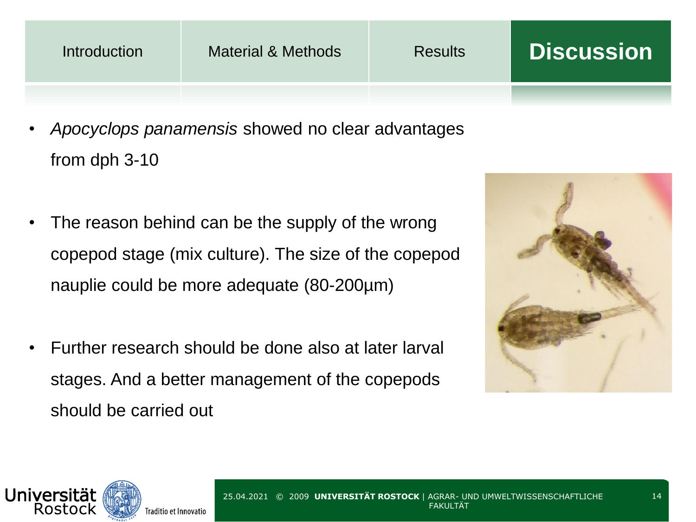| <b>Introduction</b> | <b>Material &amp; Methods</b> | <b>Results</b> | <b>Discussion</b> |
|---------------------|-------------------------------|----------------|-------------------|
|                     |                               |                |                   |
|                     |                               |                |                   |

- *Apocyclops panamensis* showed no clear advantages from dph 3-10
- The reason behind can be the supply of the wrong copepod stage (mix culture). The size of the copepod nauplie could be more adequate (80-200µm)
- Further research should be done also at later larval stages. And a better management of the copepods should be carried out



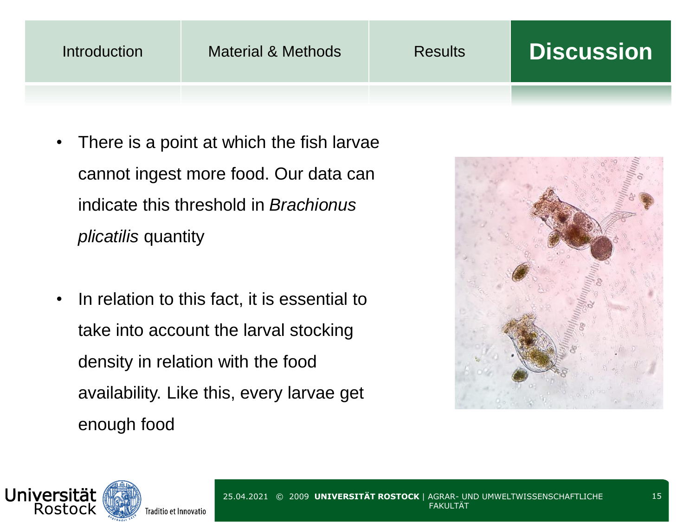| Introduction | Material & Methods | <b>Results</b> | <b>Discussion</b> |
|--------------|--------------------|----------------|-------------------|
|              |                    |                |                   |

- There is a point at which the fish larvae cannot ingest more food. Our data can indicate this threshold in *Brachionus plicatilis* quantity
- In relation to this fact, it is essential to take into account the larval stocking density in relation with the food availability. Like this, every larvae get enough food



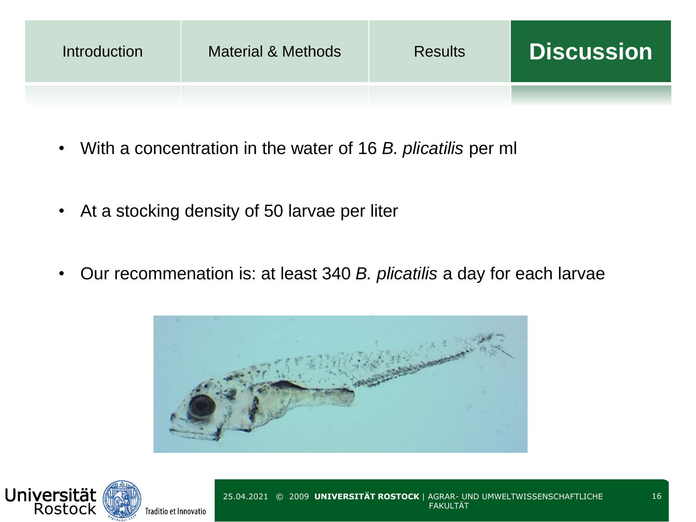| <b>Introduction</b> | <b>Material &amp; Methods</b> | <b>Results</b> | <b>Discussion</b> |
|---------------------|-------------------------------|----------------|-------------------|
|                     |                               |                |                   |

- With a concentration in the water of 16 *B. plicatilis* per ml
- At a stocking density of 50 larvae per liter
- Our recommenation is: at least 340 *B. plicatilis* a day for each larvae



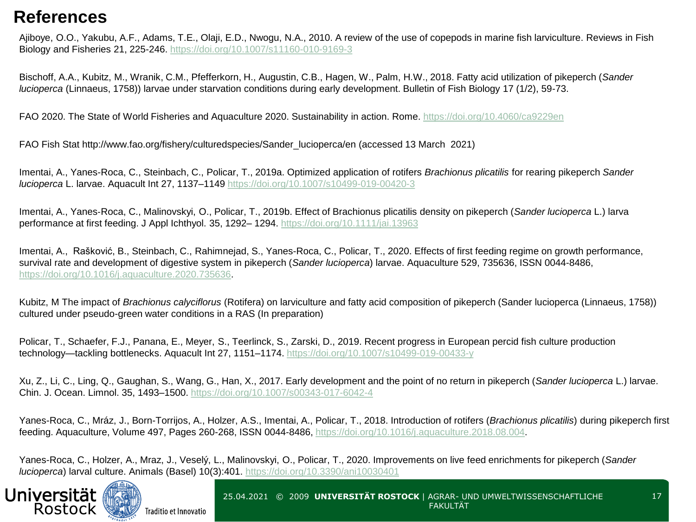# **References**

Ajiboye, O.O., Yakubu, A.F., Adams, T.E., Olaji, E.D., Nwogu, N.A., 2010. A review of the use of copepods in marine fish larviculture. Reviews in Fish Biology and Fisheries 21, 225-246.<https://doi.org/10.1007/s11160-010-9169-3>

Bischoff, A.A., Kubitz, M., Wranik, C.M., Pfefferkorn, H., Augustin, C.B., Hagen, W., Palm, H.W., 2018. Fatty acid utilization of pikeperch (*Sander lucioperca* (Linnaeus, 1758)) larvae under starvation conditions during early development. Bulletin of Fish Biology 17 (1/2), 59-73.

FAO 2020. The State of World Fisheries and Aquaculture 2020. Sustainability in action. Rome. <https://doi.org/10.4060/ca9229en>

FAO Fish Stat http://www.fao.org/fishery/culturedspecies/Sander\_lucioperca/en (accessed 13 March 2021)

Imentai, A., Yanes-Roca, C., Steinbach, C., Policar, T., 2019a. Optimized application of rotifers *Brachionus plicatilis* for rearing pikeperch *Sander lucioperca* L. larvae. Aquacult Int 27, 1137–1149<https://doi.org/10.1007/s10499-019-00420-3>

Imentai, A., Yanes‐Roca, C., Malinovskyi, O., Policar, T., 2019b. Effect of Brachionus plicatilis density on pikeperch (*Sander lucioperca* L.) larva performance at first feeding. J Appl Ichthyol. 35, 1292– 1294. <https://doi.org/10.1111/jai.13963>

Imentai, A., Rašković, B., Steinbach, C., Rahimnejad, S., Yanes-Roca, C., Policar, T., 2020. Effects of first feeding regime on growth performance, survival rate and development of digestive system in pikeperch (*Sander lucioperca*) larvae. Aquaculture 529, 735636, ISSN 0044-8486, [https://doi.org/10.1016/j.aquaculture.2020.735636.](https://doi.org/10.1016/j.aquaculture.2020.735636)

Kubitz, M The impact of *Brachionus calyciflorus* (Rotifera) on larviculture and fatty acid composition of pikeperch (Sander lucioperca (Linnaeus, 1758)) cultured under pseudo-green water conditions in a RAS (In preparation)

Policar, T., Schaefer, F.J., Panana, E., Meyer, S., Teerlinck, S., Zarski, D., 2019. Recent progress in European percid fish culture production technology—tackling bottlenecks. Aquacult Int 27, 1151–1174. <https://doi.org/10.1007/s10499-019-00433-y>

Xu, Z., Li, C., Ling, Q., Gaughan, S., Wang, G., Han, X., 2017. Early development and the point of no return in pikeperch (*Sander lucioperca* L.) larvae. Chin. J. Ocean. Limnol. 35, 1493–1500.<https://doi.org/10.1007/s00343-017-6042-4>

Yanes-Roca, C., Mráz, J., Born-Torrijos, A., Holzer, A.S., Imentai, A., Policar, T., 2018. Introduction of rotifers (*Brachionus plicatilis*) during pikeperch first feeding. Aquaculture, Volume 497, Pages 260-268, ISSN 0044-8486, [https://doi.org/10.1016/j.aquaculture.2018.08.004.](https://doi.org/10.1016/j.aquaculture.2018.08.004)

Yanes-Roca, C., Holzer, A., Mraz, J., Veselý, L., Malinovskyi, O., Policar, T., 2020. Improvements on live feed enrichments for pikeperch (*Sander lucioperca*) larval culture. Animals (Basel) 10(3):401. <https://doi.org/10.3390/ani10030401>



25.04.2021 © 2009 **UNIVERSITÄT ROSTOCK** | AGRAR- UND UMWELTWISSENSCHAFTLICHE FAKULTÄT